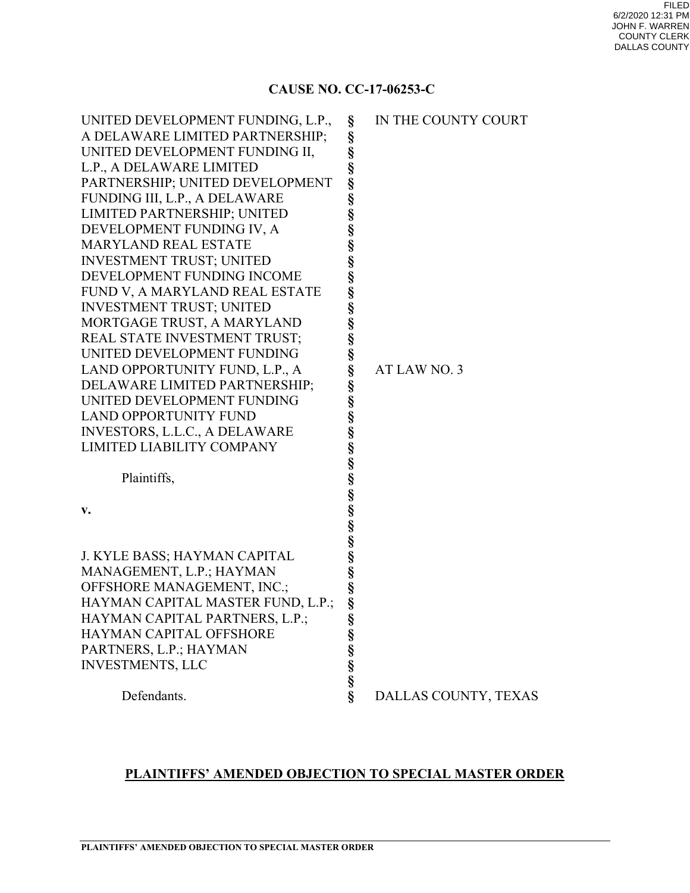### **CAUSE NO. CC-17-06253-C**

| A DELAWARE LIMITED PARTNERSHIP;<br>§<br>UNITED DEVELOPMENT FUNDING II,<br>§<br>§<br>L.P., A DELAWARE LIMITED<br>§<br>PARTNERSHIP; UNITED DEVELOPMENT<br>§<br>FUNDING III, L.P., A DELAWARE<br>§<br>LIMITED PARTNERSHIP; UNITED<br>§<br>DEVELOPMENT FUNDING IV, A<br>§<br><b>MARYLAND REAL ESTATE</b><br>§<br><b>INVESTMENT TRUST; UNITED</b><br>§<br>§<br>DEVELOPMENT FUNDING INCOME<br>FUND V, A MARYLAND REAL ESTATE<br>§<br><b>INVESTMENT TRUST; UNITED</b><br>§<br>MORTGAGE TRUST, A MARYLAND<br>§<br>REAL STATE INVESTMENT TRUST;<br>UNITED DEVELOPMENT FUNDING<br>§<br>ş<br>LAND OPPORTUNITY FUND, L.P., A<br>AT LAW NO. 3<br>§<br>DELAWARE LIMITED PARTNERSHIP;<br>§<br>UNITED DEVELOPMENT FUNDING<br>§<br><b>LAND OPPORTUNITY FUND</b><br>§<br>§<br><b>INVESTORS, L.L.C., A DELAWARE</b><br>LIMITED LIABILITY COMPANY<br>§<br>တ္တတ္တတ္တတ္တတ္တ<br>Plaintiffs,<br>v.<br>§<br>J. KYLE BASS; HAYMAN CAPITAL<br>MANAGEMENT, L.P.; HAYMAN<br>§<br>§<br>OFFSHORE MANAGEMENT, INC.;<br>HAYMAN CAPITAL MASTER FUND, L.P.;<br>ş<br>HAYMAN CAPITAL PARTNERS, L.P.;<br>§<br>§<br>HAYMAN CAPITAL OFFSHORE<br>S<br>S<br>S<br>S<br>PARTNERS, L.P.; HAYMAN<br><b>INVESTMENTS, LLC</b><br>Ş<br>Defendants.<br>DALLAS COUNTY, TEXAS | UNITED DEVELOPMENT FUNDING, L.P., | § | IN THE COUNTY COURT |
|---------------------------------------------------------------------------------------------------------------------------------------------------------------------------------------------------------------------------------------------------------------------------------------------------------------------------------------------------------------------------------------------------------------------------------------------------------------------------------------------------------------------------------------------------------------------------------------------------------------------------------------------------------------------------------------------------------------------------------------------------------------------------------------------------------------------------------------------------------------------------------------------------------------------------------------------------------------------------------------------------------------------------------------------------------------------------------------------------------------------------------------------------------------------------------------------------------------------------|-----------------------------------|---|---------------------|
|                                                                                                                                                                                                                                                                                                                                                                                                                                                                                                                                                                                                                                                                                                                                                                                                                                                                                                                                                                                                                                                                                                                                                                                                                           |                                   |   |                     |
|                                                                                                                                                                                                                                                                                                                                                                                                                                                                                                                                                                                                                                                                                                                                                                                                                                                                                                                                                                                                                                                                                                                                                                                                                           |                                   |   |                     |
|                                                                                                                                                                                                                                                                                                                                                                                                                                                                                                                                                                                                                                                                                                                                                                                                                                                                                                                                                                                                                                                                                                                                                                                                                           |                                   |   |                     |
|                                                                                                                                                                                                                                                                                                                                                                                                                                                                                                                                                                                                                                                                                                                                                                                                                                                                                                                                                                                                                                                                                                                                                                                                                           |                                   |   |                     |
|                                                                                                                                                                                                                                                                                                                                                                                                                                                                                                                                                                                                                                                                                                                                                                                                                                                                                                                                                                                                                                                                                                                                                                                                                           |                                   |   |                     |
|                                                                                                                                                                                                                                                                                                                                                                                                                                                                                                                                                                                                                                                                                                                                                                                                                                                                                                                                                                                                                                                                                                                                                                                                                           |                                   |   |                     |
|                                                                                                                                                                                                                                                                                                                                                                                                                                                                                                                                                                                                                                                                                                                                                                                                                                                                                                                                                                                                                                                                                                                                                                                                                           |                                   |   |                     |
|                                                                                                                                                                                                                                                                                                                                                                                                                                                                                                                                                                                                                                                                                                                                                                                                                                                                                                                                                                                                                                                                                                                                                                                                                           |                                   |   |                     |
|                                                                                                                                                                                                                                                                                                                                                                                                                                                                                                                                                                                                                                                                                                                                                                                                                                                                                                                                                                                                                                                                                                                                                                                                                           |                                   |   |                     |
|                                                                                                                                                                                                                                                                                                                                                                                                                                                                                                                                                                                                                                                                                                                                                                                                                                                                                                                                                                                                                                                                                                                                                                                                                           |                                   |   |                     |
|                                                                                                                                                                                                                                                                                                                                                                                                                                                                                                                                                                                                                                                                                                                                                                                                                                                                                                                                                                                                                                                                                                                                                                                                                           |                                   |   |                     |
|                                                                                                                                                                                                                                                                                                                                                                                                                                                                                                                                                                                                                                                                                                                                                                                                                                                                                                                                                                                                                                                                                                                                                                                                                           |                                   |   |                     |
|                                                                                                                                                                                                                                                                                                                                                                                                                                                                                                                                                                                                                                                                                                                                                                                                                                                                                                                                                                                                                                                                                                                                                                                                                           |                                   |   |                     |
|                                                                                                                                                                                                                                                                                                                                                                                                                                                                                                                                                                                                                                                                                                                                                                                                                                                                                                                                                                                                                                                                                                                                                                                                                           |                                   |   |                     |
|                                                                                                                                                                                                                                                                                                                                                                                                                                                                                                                                                                                                                                                                                                                                                                                                                                                                                                                                                                                                                                                                                                                                                                                                                           |                                   |   |                     |
|                                                                                                                                                                                                                                                                                                                                                                                                                                                                                                                                                                                                                                                                                                                                                                                                                                                                                                                                                                                                                                                                                                                                                                                                                           |                                   |   |                     |
|                                                                                                                                                                                                                                                                                                                                                                                                                                                                                                                                                                                                                                                                                                                                                                                                                                                                                                                                                                                                                                                                                                                                                                                                                           |                                   |   |                     |
|                                                                                                                                                                                                                                                                                                                                                                                                                                                                                                                                                                                                                                                                                                                                                                                                                                                                                                                                                                                                                                                                                                                                                                                                                           |                                   |   |                     |
|                                                                                                                                                                                                                                                                                                                                                                                                                                                                                                                                                                                                                                                                                                                                                                                                                                                                                                                                                                                                                                                                                                                                                                                                                           |                                   |   |                     |
|                                                                                                                                                                                                                                                                                                                                                                                                                                                                                                                                                                                                                                                                                                                                                                                                                                                                                                                                                                                                                                                                                                                                                                                                                           |                                   |   |                     |
|                                                                                                                                                                                                                                                                                                                                                                                                                                                                                                                                                                                                                                                                                                                                                                                                                                                                                                                                                                                                                                                                                                                                                                                                                           |                                   |   |                     |
|                                                                                                                                                                                                                                                                                                                                                                                                                                                                                                                                                                                                                                                                                                                                                                                                                                                                                                                                                                                                                                                                                                                                                                                                                           |                                   |   |                     |
|                                                                                                                                                                                                                                                                                                                                                                                                                                                                                                                                                                                                                                                                                                                                                                                                                                                                                                                                                                                                                                                                                                                                                                                                                           |                                   |   |                     |
|                                                                                                                                                                                                                                                                                                                                                                                                                                                                                                                                                                                                                                                                                                                                                                                                                                                                                                                                                                                                                                                                                                                                                                                                                           |                                   |   |                     |
|                                                                                                                                                                                                                                                                                                                                                                                                                                                                                                                                                                                                                                                                                                                                                                                                                                                                                                                                                                                                                                                                                                                                                                                                                           |                                   |   |                     |
|                                                                                                                                                                                                                                                                                                                                                                                                                                                                                                                                                                                                                                                                                                                                                                                                                                                                                                                                                                                                                                                                                                                                                                                                                           |                                   |   |                     |
|                                                                                                                                                                                                                                                                                                                                                                                                                                                                                                                                                                                                                                                                                                                                                                                                                                                                                                                                                                                                                                                                                                                                                                                                                           |                                   |   |                     |
|                                                                                                                                                                                                                                                                                                                                                                                                                                                                                                                                                                                                                                                                                                                                                                                                                                                                                                                                                                                                                                                                                                                                                                                                                           |                                   |   |                     |
|                                                                                                                                                                                                                                                                                                                                                                                                                                                                                                                                                                                                                                                                                                                                                                                                                                                                                                                                                                                                                                                                                                                                                                                                                           |                                   |   |                     |
|                                                                                                                                                                                                                                                                                                                                                                                                                                                                                                                                                                                                                                                                                                                                                                                                                                                                                                                                                                                                                                                                                                                                                                                                                           |                                   |   |                     |
|                                                                                                                                                                                                                                                                                                                                                                                                                                                                                                                                                                                                                                                                                                                                                                                                                                                                                                                                                                                                                                                                                                                                                                                                                           |                                   |   |                     |
|                                                                                                                                                                                                                                                                                                                                                                                                                                                                                                                                                                                                                                                                                                                                                                                                                                                                                                                                                                                                                                                                                                                                                                                                                           |                                   |   |                     |
|                                                                                                                                                                                                                                                                                                                                                                                                                                                                                                                                                                                                                                                                                                                                                                                                                                                                                                                                                                                                                                                                                                                                                                                                                           |                                   |   |                     |
|                                                                                                                                                                                                                                                                                                                                                                                                                                                                                                                                                                                                                                                                                                                                                                                                                                                                                                                                                                                                                                                                                                                                                                                                                           |                                   |   |                     |
|                                                                                                                                                                                                                                                                                                                                                                                                                                                                                                                                                                                                                                                                                                                                                                                                                                                                                                                                                                                                                                                                                                                                                                                                                           |                                   |   |                     |
|                                                                                                                                                                                                                                                                                                                                                                                                                                                                                                                                                                                                                                                                                                                                                                                                                                                                                                                                                                                                                                                                                                                                                                                                                           |                                   |   |                     |
|                                                                                                                                                                                                                                                                                                                                                                                                                                                                                                                                                                                                                                                                                                                                                                                                                                                                                                                                                                                                                                                                                                                                                                                                                           |                                   |   |                     |

## **PLAINTIFFS' AMENDED OBJECTION TO SPECIAL MASTER ORDER**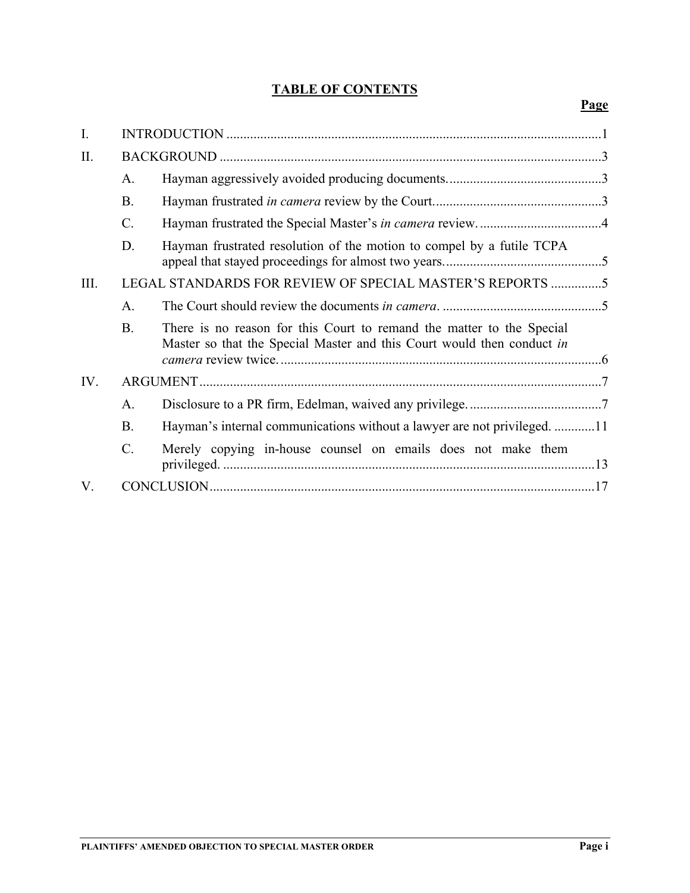## **TABLE OF CONTENTS**

| I.   |                 |                                                                                                                                                 |
|------|-----------------|-------------------------------------------------------------------------------------------------------------------------------------------------|
| II.  |                 |                                                                                                                                                 |
|      | A.              |                                                                                                                                                 |
|      | <b>B.</b>       |                                                                                                                                                 |
|      | $C_{\cdot}$     |                                                                                                                                                 |
|      | D.              | Hayman frustrated resolution of the motion to compel by a futile TCPA                                                                           |
| III. |                 | LEGAL STANDARDS FOR REVIEW OF SPECIAL MASTER'S REPORTS 5                                                                                        |
|      | A.              |                                                                                                                                                 |
|      | <b>B.</b>       | There is no reason for this Court to remand the matter to the Special<br>Master so that the Special Master and this Court would then conduct in |
| IV.  |                 |                                                                                                                                                 |
|      | A.              |                                                                                                                                                 |
|      | <b>B.</b>       | Hayman's internal communications without a lawyer are not privileged. 11                                                                        |
|      | $\mathcal{C}$ . | Merely copying in-house counsel on emails does not make them                                                                                    |
| V.   |                 |                                                                                                                                                 |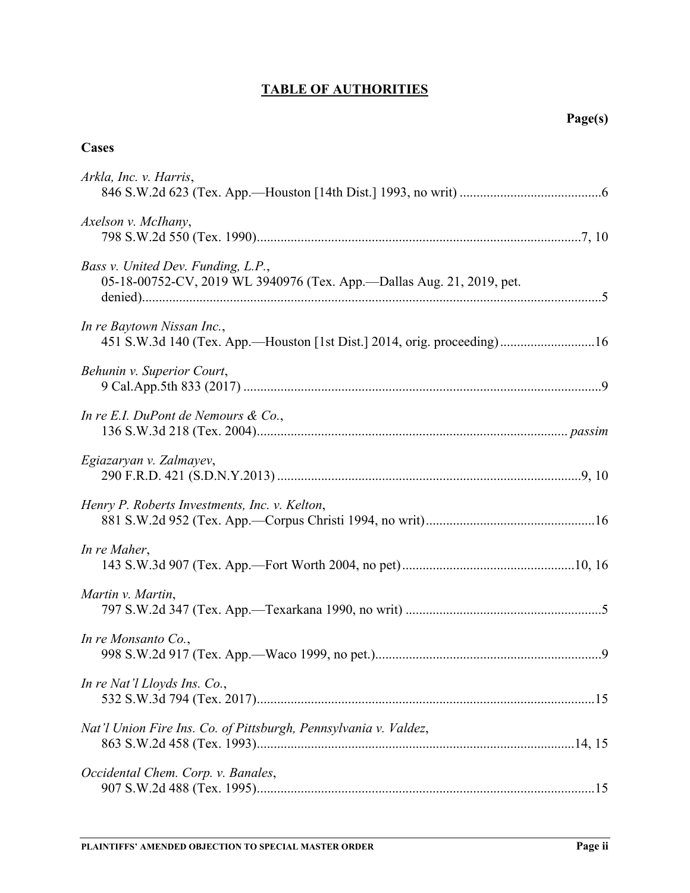# **TABLE OF AUTHORITIES**

## **Cases**

| Arkla, Inc. v. Harris,                                                                                      |
|-------------------------------------------------------------------------------------------------------------|
| Axelson v. McIhany,                                                                                         |
| Bass v. United Dev. Funding, L.P.,<br>05-18-00752-CV, 2019 WL 3940976 (Tex. App.—Dallas Aug. 21, 2019, pet. |
| In re Baytown Nissan Inc.,<br>451 S.W.3d 140 (Tex. App.-Houston [1st Dist.] 2014, orig. proceeding)16       |
| Behunin v. Superior Court,                                                                                  |
| In re E.I. DuPont de Nemours $\&$ Co.,                                                                      |
| Egiazaryan v. Zalmayev,                                                                                     |
| Henry P. Roberts Investments, Inc. v. Kelton,                                                               |
| In re Maher,                                                                                                |
| Martin v. Martin,                                                                                           |
| In re Monsanto Co.,                                                                                         |
| In re Nat'l Lloyds Ins. Co.,                                                                                |
| Nat'l Union Fire Ins. Co. of Pittsburgh, Pennsylvania v. Valdez,                                            |
| Occidental Chem. Corp. v. Banales,                                                                          |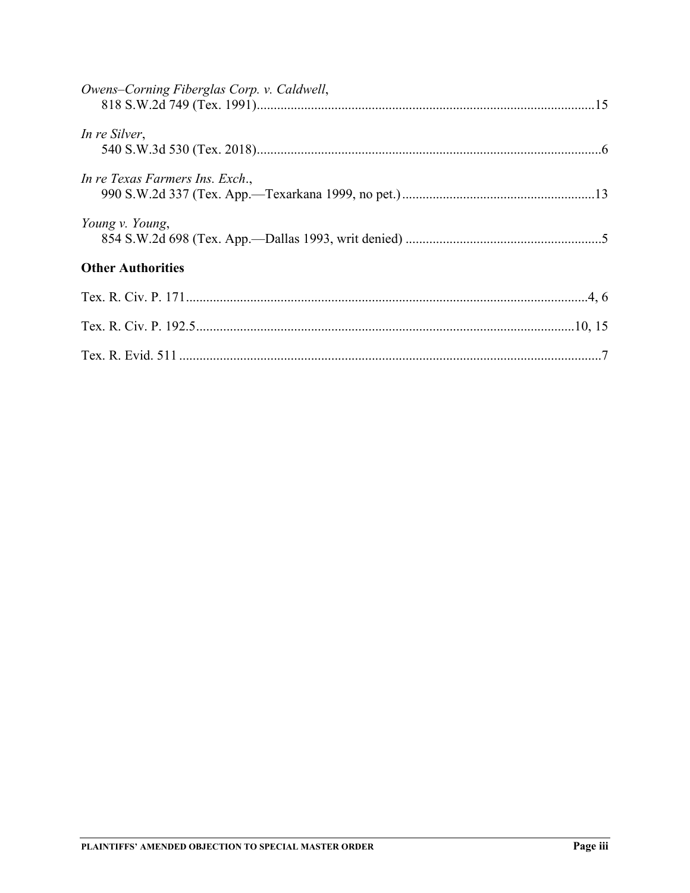| Owens-Corning Fiberglas Corp. v. Caldwell, |
|--------------------------------------------|
| In re Silver,                              |
| In re Texas Farmers Ins. Exch.,            |
| Young v. Young,                            |
| <b>Other Authorities</b>                   |
|                                            |
|                                            |
|                                            |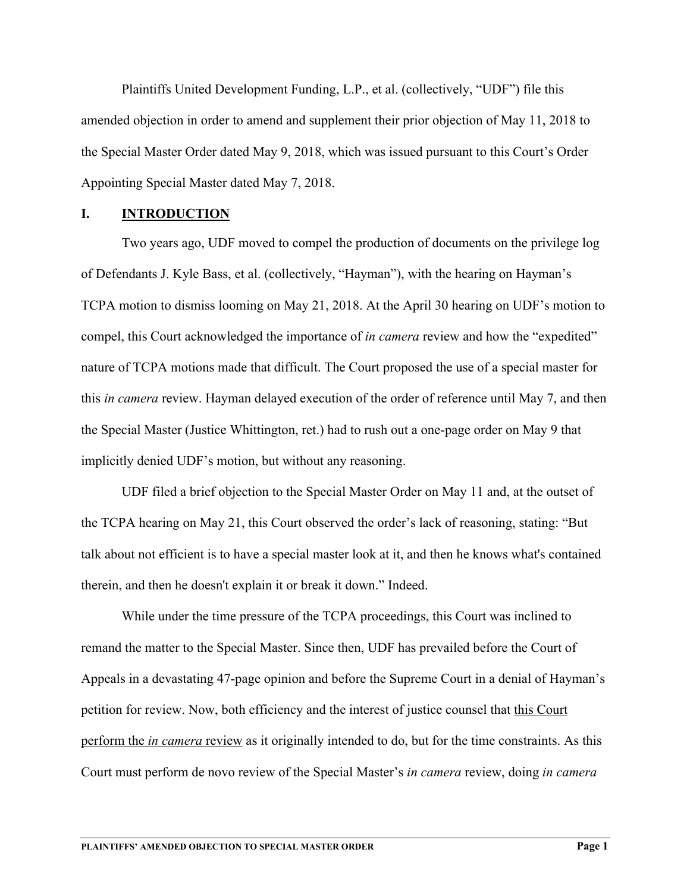Plaintiffs United Development Funding, L.P., et al. (collectively, "UDF") file this amended objection in order to amend and supplement their prior objection of May 11, 2018 to the Special Master Order dated May 9, 2018, which was issued pursuant to this Court's Order Appointing Special Master dated May 7, 2018.

#### **I. INTRODUCTION**

Two years ago, UDF moved to compel the production of documents on the privilege log of Defendants J. Kyle Bass, et al. (collectively, "Hayman"), with the hearing on Hayman's TCPA motion to dismiss looming on May 21, 2018. At the April 30 hearing on UDF's motion to compel, this Court acknowledged the importance of *in camera* review and how the "expedited" nature of TCPA motions made that difficult. The Court proposed the use of a special master for this *in camera* review. Hayman delayed execution of the order of reference until May 7, and then the Special Master (Justice Whittington, ret.) had to rush out a one-page order on May 9 that implicitly denied UDF's motion, but without any reasoning.

UDF filed a brief objection to the Special Master Order on May 11 and, at the outset of the TCPA hearing on May 21, this Court observed the order's lack of reasoning, stating: "But talk about not efficient is to have a special master look at it, and then he knows what's contained therein, and then he doesn't explain it or break it down." Indeed.

While under the time pressure of the TCPA proceedings, this Court was inclined to remand the matter to the Special Master. Since then, UDF has prevailed before the Court of Appeals in a devastating 47-page opinion and before the Supreme Court in a denial of Hayman's petition for review. Now, both efficiency and the interest of justice counsel that this Court perform the *in camera* review as it originally intended to do, but for the time constraints. As this Court must perform de novo review of the Special Master's *in camera* review, doing *in camera*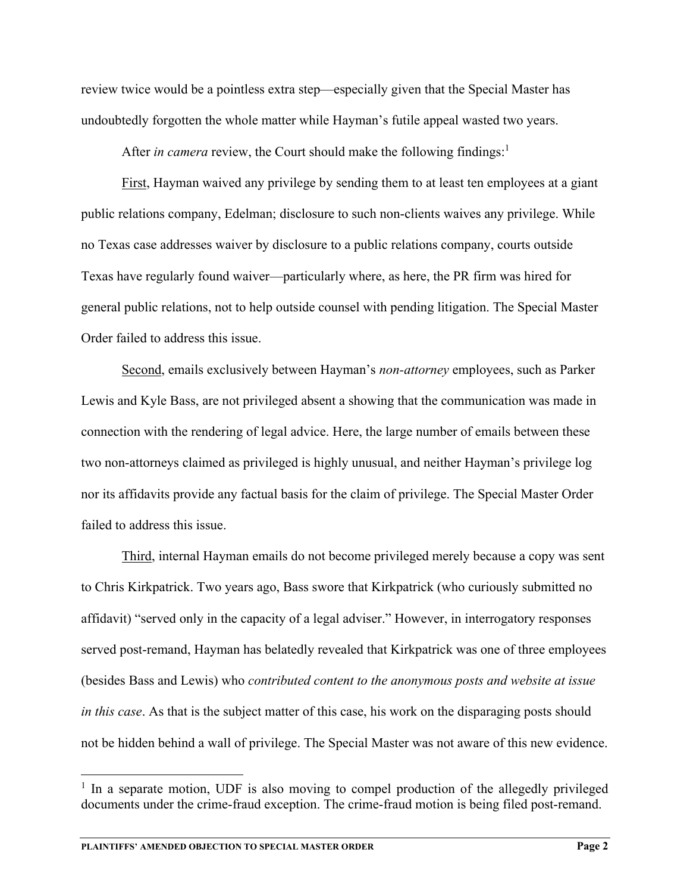review twice would be a pointless extra step—especially given that the Special Master has undoubtedly forgotten the whole matter while Hayman's futile appeal wasted two years.

After *in camera* review, the Court should make the following findings:<sup>1</sup>

First, Hayman waived any privilege by sending them to at least ten employees at a giant public relations company, Edelman; disclosure to such non-clients waives any privilege. While no Texas case addresses waiver by disclosure to a public relations company, courts outside Texas have regularly found waiver—particularly where, as here, the PR firm was hired for general public relations, not to help outside counsel with pending litigation. The Special Master Order failed to address this issue.

Second, emails exclusively between Hayman's *non-attorney* employees, such as Parker Lewis and Kyle Bass, are not privileged absent a showing that the communication was made in connection with the rendering of legal advice. Here, the large number of emails between these two non-attorneys claimed as privileged is highly unusual, and neither Hayman's privilege log nor its affidavits provide any factual basis for the claim of privilege. The Special Master Order failed to address this issue.

Third, internal Hayman emails do not become privileged merely because a copy was sent to Chris Kirkpatrick. Two years ago, Bass swore that Kirkpatrick (who curiously submitted no affidavit) "served only in the capacity of a legal adviser." However, in interrogatory responses served post-remand, Hayman has belatedly revealed that Kirkpatrick was one of three employees (besides Bass and Lewis) who *contributed content to the anonymous posts and website at issue in this case*. As that is the subject matter of this case, his work on the disparaging posts should not be hidden behind a wall of privilege. The Special Master was not aware of this new evidence.

<sup>&</sup>lt;sup>1</sup> In a separate motion, UDF is also moving to compel production of the allegedly privileged documents under the crime-fraud exception. The crime-fraud motion is being filed post-remand.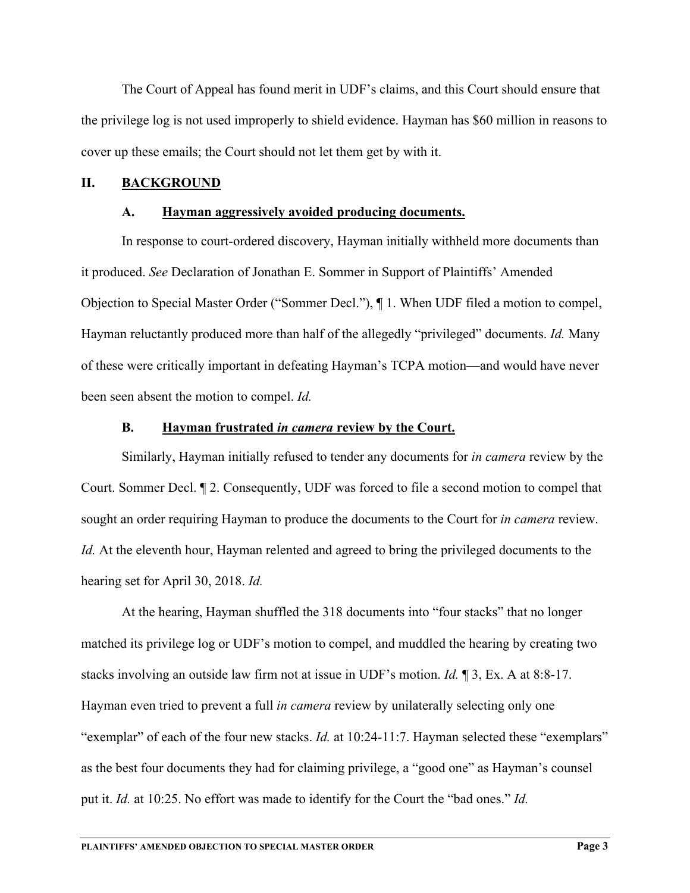The Court of Appeal has found merit in UDF's claims, and this Court should ensure that the privilege log is not used improperly to shield evidence. Hayman has \$60 million in reasons to cover up these emails; the Court should not let them get by with it.

#### **II. BACKGROUND**

#### **A. Hayman aggressively avoided producing documents.**

In response to court-ordered discovery, Hayman initially withheld more documents than it produced. *See* Declaration of Jonathan E. Sommer in Support of Plaintiffs' Amended Objection to Special Master Order ("Sommer Decl."), ¶ 1. When UDF filed a motion to compel, Hayman reluctantly produced more than half of the allegedly "privileged" documents. *Id.* Many of these were critically important in defeating Hayman's TCPA motion—and would have never been seen absent the motion to compel. *Id.*

#### **B. Hayman frustrated** *in camera* **review by the Court.**

Similarly, Hayman initially refused to tender any documents for *in camera* review by the Court. Sommer Decl. ¶ 2. Consequently, UDF was forced to file a second motion to compel that sought an order requiring Hayman to produce the documents to the Court for *in camera* review. *Id.* At the eleventh hour, Hayman relented and agreed to bring the privileged documents to the hearing set for April 30, 2018. *Id.*

At the hearing, Hayman shuffled the 318 documents into "four stacks" that no longer matched its privilege log or UDF's motion to compel, and muddled the hearing by creating two stacks involving an outside law firm not at issue in UDF's motion. *Id.* ¶ 3, Ex. A at 8:8-17. Hayman even tried to prevent a full *in camera* review by unilaterally selecting only one "exemplar" of each of the four new stacks. *Id.* at 10:24-11:7. Hayman selected these "exemplars" as the best four documents they had for claiming privilege, a "good one" as Hayman's counsel put it. *Id.* at 10:25. No effort was made to identify for the Court the "bad ones." *Id.*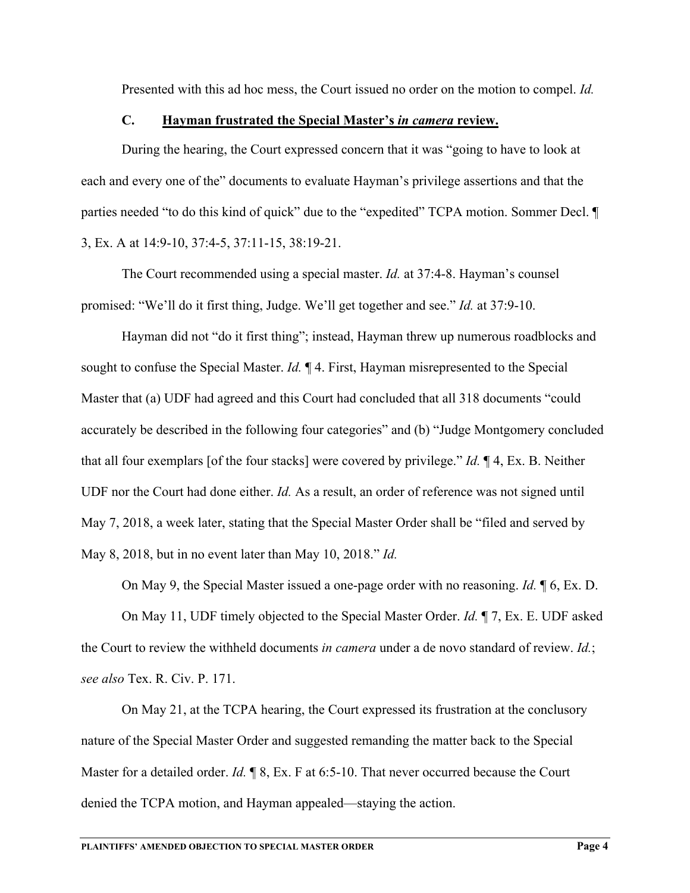Presented with this ad hoc mess, the Court issued no order on the motion to compel. *Id.*

#### **C. Hayman frustrated the Special Master's** *in camera* **review.**

During the hearing, the Court expressed concern that it was "going to have to look at each and every one of the" documents to evaluate Hayman's privilege assertions and that the parties needed "to do this kind of quick" due to the "expedited" TCPA motion. Sommer Decl. ¶ 3, Ex. A at 14:9-10, 37:4-5, 37:11-15, 38:19-21.

The Court recommended using a special master. *Id.* at 37:4-8. Hayman's counsel promised: "We'll do it first thing, Judge. We'll get together and see." *Id.* at 37:9-10.

Hayman did not "do it first thing"; instead, Hayman threw up numerous roadblocks and sought to confuse the Special Master. *Id.* ¶ 4. First, Hayman misrepresented to the Special Master that (a) UDF had agreed and this Court had concluded that all 318 documents "could accurately be described in the following four categories" and (b) "Judge Montgomery concluded that all four exemplars [of the four stacks] were covered by privilege." *Id.* ¶ 4, Ex. B. Neither UDF nor the Court had done either. *Id.* As a result, an order of reference was not signed until May 7, 2018, a week later, stating that the Special Master Order shall be "filed and served by May 8, 2018, but in no event later than May 10, 2018." *Id.*

On May 9, the Special Master issued a one-page order with no reasoning. *Id.* ¶ 6, Ex. D.

On May 11, UDF timely objected to the Special Master Order. *Id.* ¶ 7, Ex. E. UDF asked the Court to review the withheld documents *in camera* under a de novo standard of review. *Id.*; *see also* Tex. R. Civ. P. 171.

On May 21, at the TCPA hearing, the Court expressed its frustration at the conclusory nature of the Special Master Order and suggested remanding the matter back to the Special Master for a detailed order. *Id.* 18, Ex. F at 6:5-10. That never occurred because the Court denied the TCPA motion, and Hayman appealed—staying the action.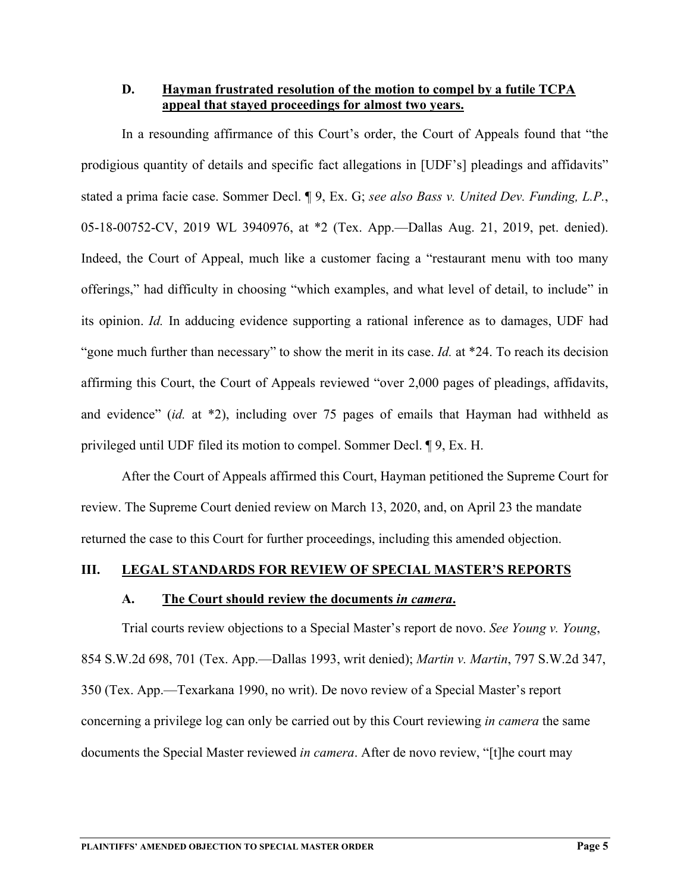**D. Hayman frustrated resolution of the motion to compel by a futile TCPA appeal that stayed proceedings for almost two years.** 

In a resounding affirmance of this Court's order, the Court of Appeals found that "the prodigious quantity of details and specific fact allegations in [UDF's] pleadings and affidavits" stated a prima facie case. Sommer Decl. ¶ 9, Ex. G; *see also Bass v. United Dev. Funding, L.P.*, 05-18-00752-CV, 2019 WL 3940976, at \*2 (Tex. App.—Dallas Aug. 21, 2019, pet. denied). Indeed, the Court of Appeal, much like a customer facing a "restaurant menu with too many offerings," had difficulty in choosing "which examples, and what level of detail, to include" in its opinion. *Id.* In adducing evidence supporting a rational inference as to damages, UDF had "gone much further than necessary" to show the merit in its case. *Id.* at \*24. To reach its decision affirming this Court, the Court of Appeals reviewed "over 2,000 pages of pleadings, affidavits, and evidence" (*id.* at \*2), including over 75 pages of emails that Hayman had withheld as privileged until UDF filed its motion to compel. Sommer Decl. ¶ 9, Ex. H.

After the Court of Appeals affirmed this Court, Hayman petitioned the Supreme Court for review. The Supreme Court denied review on March 13, 2020, and, on April 23 the mandate returned the case to this Court for further proceedings, including this amended objection.

#### **III. LEGAL STANDARDS FOR REVIEW OF SPECIAL MASTER'S REPORTS**

#### **A. The Court should review the documents** *in camera***.**

Trial courts review objections to a Special Master's report de novo. *See Young v. Young*, 854 S.W.2d 698, 701 (Tex. App.—Dallas 1993, writ denied); *Martin v. Martin*, 797 S.W.2d 347, 350 (Tex. App.—Texarkana 1990, no writ). De novo review of a Special Master's report concerning a privilege log can only be carried out by this Court reviewing *in camera* the same documents the Special Master reviewed *in camera*. After de novo review, "[t]he court may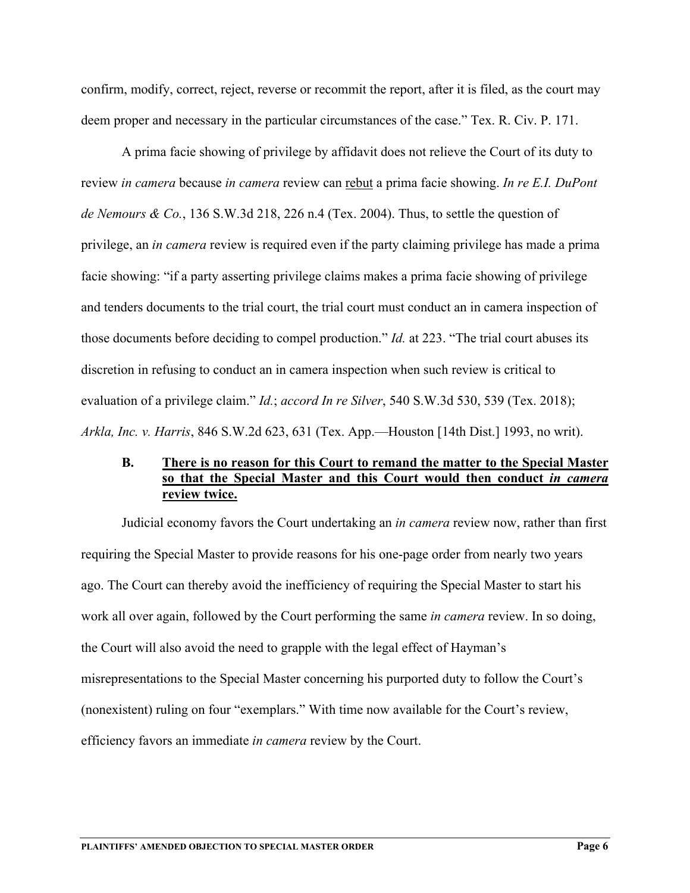confirm, modify, correct, reject, reverse or recommit the report, after it is filed, as the court may deem proper and necessary in the particular circumstances of the case." Tex. R. Civ. P. 171.

A prima facie showing of privilege by affidavit does not relieve the Court of its duty to review *in camera* because *in camera* review can rebut a prima facie showing. *In re E.I. DuPont de Nemours & Co.*, 136 S.W.3d 218, 226 n.4 (Tex. 2004). Thus, to settle the question of privilege, an *in camera* review is required even if the party claiming privilege has made a prima facie showing: "if a party asserting privilege claims makes a prima facie showing of privilege and tenders documents to the trial court, the trial court must conduct an in camera inspection of those documents before deciding to compel production." *Id.* at 223. "The trial court abuses its discretion in refusing to conduct an in camera inspection when such review is critical to evaluation of a privilege claim." *Id.*; *accord In re Silver*, 540 S.W.3d 530, 539 (Tex. 2018); *Arkla, Inc. v. Harris*, 846 S.W.2d 623, 631 (Tex. App.—Houston [14th Dist.] 1993, no writ).

#### **B. There is no reason for this Court to remand the matter to the Special Master so that the Special Master and this Court would then conduct** *in camera*  **review twice.**

Judicial economy favors the Court undertaking an *in camera* review now, rather than first requiring the Special Master to provide reasons for his one-page order from nearly two years ago. The Court can thereby avoid the inefficiency of requiring the Special Master to start his work all over again, followed by the Court performing the same *in camera* review. In so doing, the Court will also avoid the need to grapple with the legal effect of Hayman's misrepresentations to the Special Master concerning his purported duty to follow the Court's (nonexistent) ruling on four "exemplars." With time now available for the Court's review, efficiency favors an immediate *in camera* review by the Court.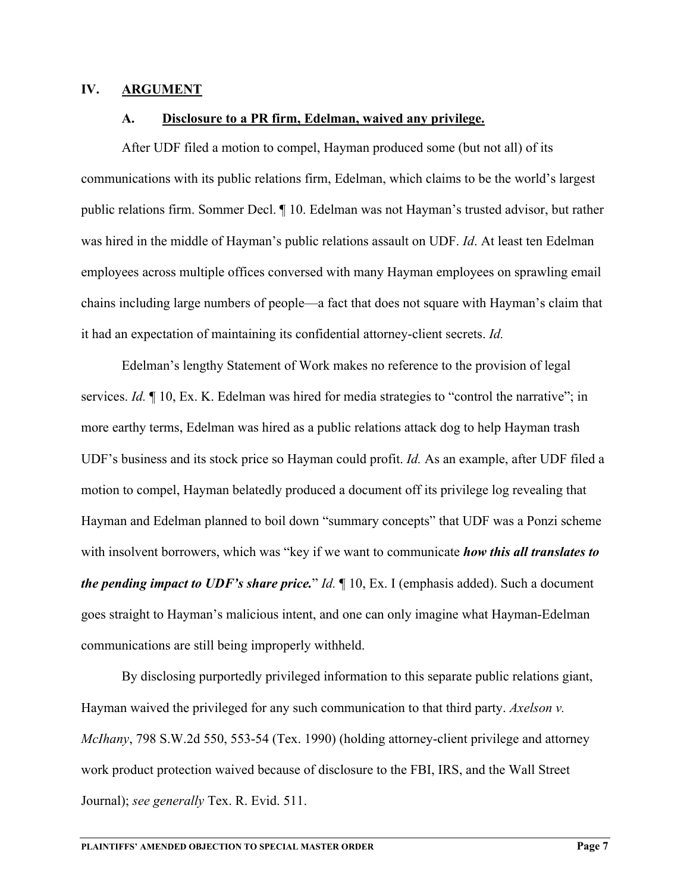#### **IV. ARGUMENT**

#### **A. Disclosure to a PR firm, Edelman, waived any privilege.**

After UDF filed a motion to compel, Hayman produced some (but not all) of its communications with its public relations firm, Edelman, which claims to be the world's largest public relations firm. Sommer Decl. ¶ 10. Edelman was not Hayman's trusted advisor, but rather was hired in the middle of Hayman's public relations assault on UDF. *Id*. At least ten Edelman employees across multiple offices conversed with many Hayman employees on sprawling email chains including large numbers of people—a fact that does not square with Hayman's claim that it had an expectation of maintaining its confidential attorney-client secrets. *Id.*

Edelman's lengthy Statement of Work makes no reference to the provision of legal services. *Id.* ¶ 10, Ex. K. Edelman was hired for media strategies to "control the narrative"; in more earthy terms, Edelman was hired as a public relations attack dog to help Hayman trash UDF's business and its stock price so Hayman could profit. *Id.* As an example, after UDF filed a motion to compel, Hayman belatedly produced a document off its privilege log revealing that Hayman and Edelman planned to boil down "summary concepts" that UDF was a Ponzi scheme with insolvent borrowers, which was "key if we want to communicate *how this all translates to the pending impact to UDF's share price.*" *Id.* ¶ 10, Ex. I (emphasis added). Such a document goes straight to Hayman's malicious intent, and one can only imagine what Hayman-Edelman communications are still being improperly withheld.

By disclosing purportedly privileged information to this separate public relations giant, Hayman waived the privileged for any such communication to that third party. *Axelson v. McIhany*, 798 S.W.2d 550, 553-54 (Tex. 1990) (holding attorney-client privilege and attorney work product protection waived because of disclosure to the FBI, IRS, and the Wall Street Journal); *see generally* Tex. R. Evid. 511.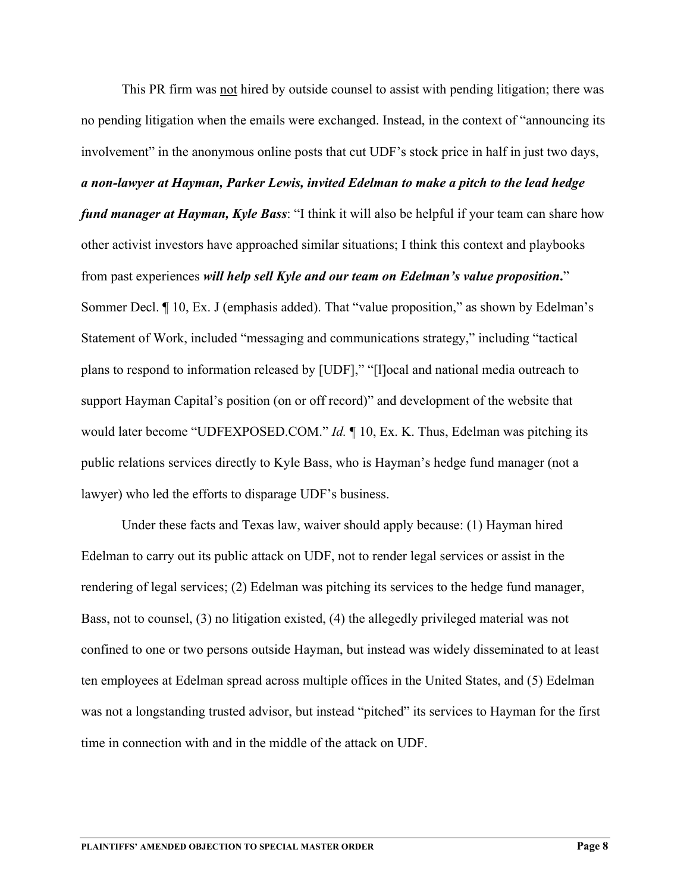This PR firm was not hired by outside counsel to assist with pending litigation; there was no pending litigation when the emails were exchanged. Instead, in the context of "announcing its involvement" in the anonymous online posts that cut UDF's stock price in half in just two days, *a non-lawyer at Hayman, Parker Lewis, invited Edelman to make a pitch to the lead hedge fund manager at Hayman, Kyle Bass*: "I think it will also be helpful if your team can share how other activist investors have approached similar situations; I think this context and playbooks from past experiences *will help sell Kyle and our team on Edelman's value proposition***.**" Sommer Decl. ¶ 10, Ex. J (emphasis added). That "value proposition," as shown by Edelman's Statement of Work, included "messaging and communications strategy," including "tactical plans to respond to information released by [UDF]," "[l]ocal and national media outreach to

support Hayman Capital's position (on or off record)" and development of the website that would later become "UDFEXPOSED.COM." *Id.* ¶ 10, Ex. K. Thus, Edelman was pitching its public relations services directly to Kyle Bass, who is Hayman's hedge fund manager (not a lawyer) who led the efforts to disparage UDF's business.

Under these facts and Texas law, waiver should apply because: (1) Hayman hired Edelman to carry out its public attack on UDF, not to render legal services or assist in the rendering of legal services; (2) Edelman was pitching its services to the hedge fund manager, Bass, not to counsel, (3) no litigation existed, (4) the allegedly privileged material was not confined to one or two persons outside Hayman, but instead was widely disseminated to at least ten employees at Edelman spread across multiple offices in the United States, and (5) Edelman was not a longstanding trusted advisor, but instead "pitched" its services to Hayman for the first time in connection with and in the middle of the attack on UDF.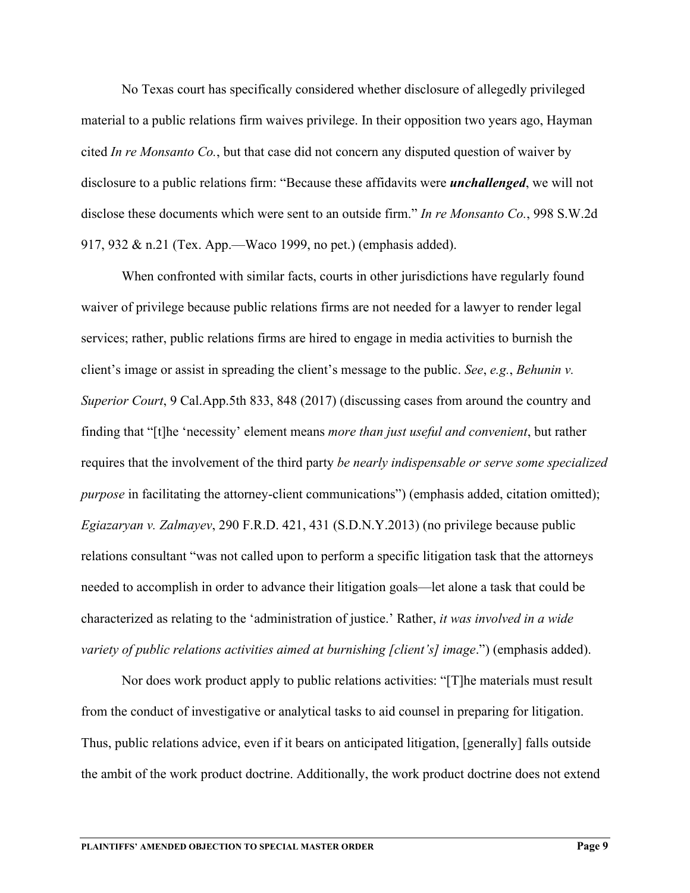No Texas court has specifically considered whether disclosure of allegedly privileged material to a public relations firm waives privilege. In their opposition two years ago, Hayman cited *In re Monsanto Co.*, but that case did not concern any disputed question of waiver by disclosure to a public relations firm: "Because these affidavits were *unchallenged*, we will not disclose these documents which were sent to an outside firm." *In re Monsanto Co.*, 998 S.W.2d 917, 932 & n.21 (Tex. App.—Waco 1999, no pet.) (emphasis added).

When confronted with similar facts, courts in other jurisdictions have regularly found waiver of privilege because public relations firms are not needed for a lawyer to render legal services; rather, public relations firms are hired to engage in media activities to burnish the client's image or assist in spreading the client's message to the public. *See*, *e.g.*, *Behunin v. Superior Court*, 9 Cal.App.5th 833, 848 (2017) (discussing cases from around the country and finding that "[t]he 'necessity' element means *more than just useful and convenient*, but rather requires that the involvement of the third party *be nearly indispensable or serve some specialized purpose* in facilitating the attorney-client communications") (emphasis added, citation omitted); *Egiazaryan v. Zalmayev*, 290 F.R.D. 421, 431 (S.D.N.Y.2013) (no privilege because public relations consultant "was not called upon to perform a specific litigation task that the attorneys needed to accomplish in order to advance their litigation goals—let alone a task that could be characterized as relating to the 'administration of justice.' Rather, *it was involved in a wide variety of public relations activities aimed at burnishing [client's] image*.") (emphasis added).

Nor does work product apply to public relations activities: "[T]he materials must result from the conduct of investigative or analytical tasks to aid counsel in preparing for litigation. Thus, public relations advice, even if it bears on anticipated litigation, [generally] falls outside the ambit of the work product doctrine. Additionally, the work product doctrine does not extend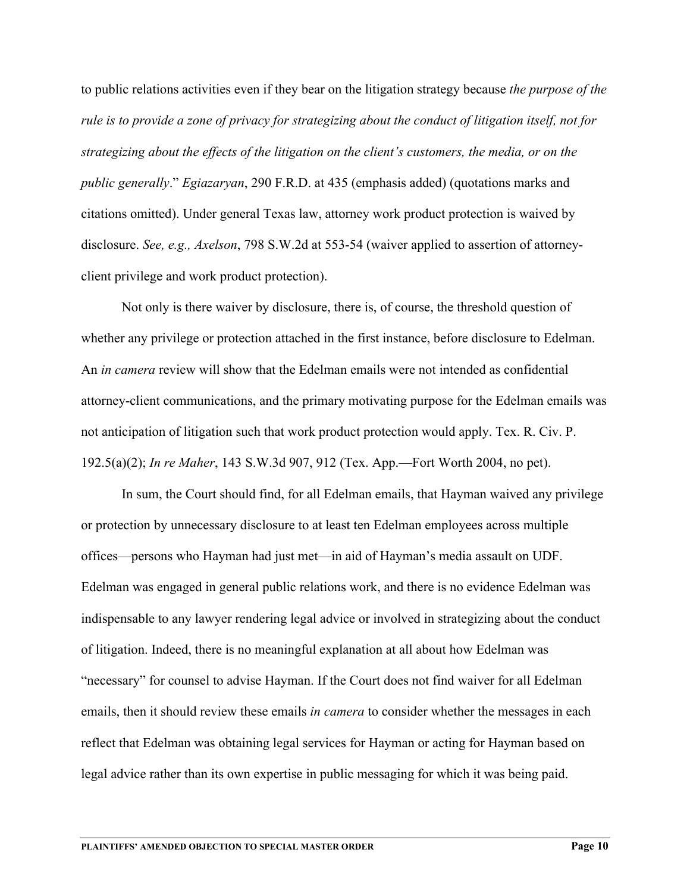to public relations activities even if they bear on the litigation strategy because *the purpose of the rule is to provide a zone of privacy for strategizing about the conduct of litigation itself, not for strategizing about the effects of the litigation on the client's customers, the media, or on the public generally*." *Egiazaryan*, 290 F.R.D. at 435 (emphasis added) (quotations marks and citations omitted). Under general Texas law, attorney work product protection is waived by disclosure. *See, e.g., Axelson*, 798 S.W.2d at 553-54 (waiver applied to assertion of attorneyclient privilege and work product protection).

Not only is there waiver by disclosure, there is, of course, the threshold question of whether any privilege or protection attached in the first instance, before disclosure to Edelman. An *in camera* review will show that the Edelman emails were not intended as confidential attorney-client communications, and the primary motivating purpose for the Edelman emails was not anticipation of litigation such that work product protection would apply. Tex. R. Civ. P. 192.5(a)(2); *In re Maher*, 143 S.W.3d 907, 912 (Tex. App.—Fort Worth 2004, no pet).

In sum, the Court should find, for all Edelman emails, that Hayman waived any privilege or protection by unnecessary disclosure to at least ten Edelman employees across multiple offices—persons who Hayman had just met—in aid of Hayman's media assault on UDF. Edelman was engaged in general public relations work, and there is no evidence Edelman was indispensable to any lawyer rendering legal advice or involved in strategizing about the conduct of litigation. Indeed, there is no meaningful explanation at all about how Edelman was "necessary" for counsel to advise Hayman. If the Court does not find waiver for all Edelman emails, then it should review these emails *in camera* to consider whether the messages in each reflect that Edelman was obtaining legal services for Hayman or acting for Hayman based on legal advice rather than its own expertise in public messaging for which it was being paid.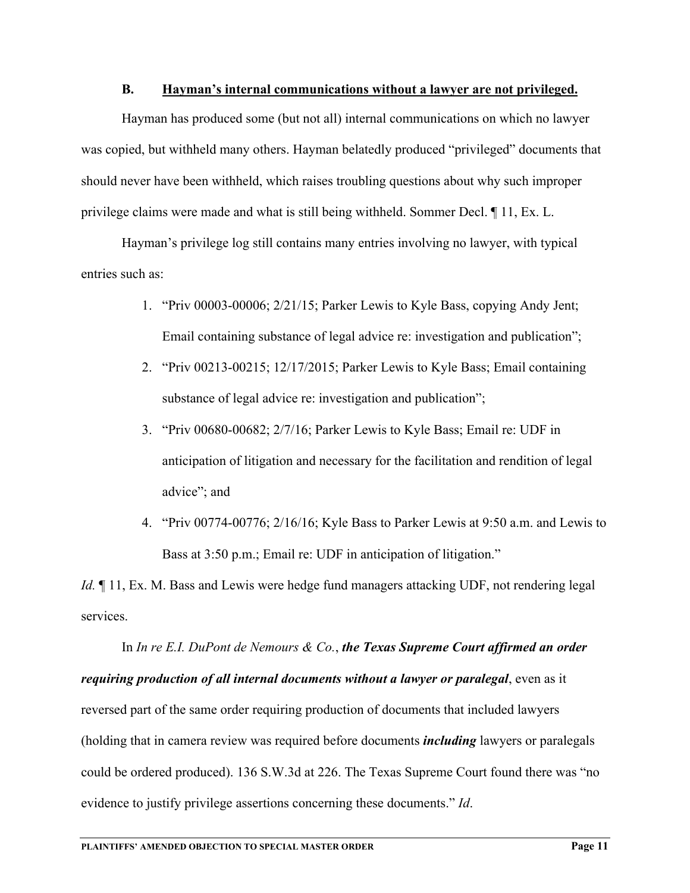#### **B. Hayman's internal communications without a lawyer are not privileged.**

Hayman has produced some (but not all) internal communications on which no lawyer was copied, but withheld many others. Hayman belatedly produced "privileged" documents that should never have been withheld, which raises troubling questions about why such improper privilege claims were made and what is still being withheld. Sommer Decl. ¶ 11, Ex. L.

Hayman's privilege log still contains many entries involving no lawyer, with typical entries such as:

- 1. "Priv 00003-00006; 2/21/15; Parker Lewis to Kyle Bass, copying Andy Jent; Email containing substance of legal advice re: investigation and publication";
- 2. "Priv 00213-00215; 12/17/2015; Parker Lewis to Kyle Bass; Email containing substance of legal advice re: investigation and publication";
- 3. "Priv 00680-00682; 2/7/16; Parker Lewis to Kyle Bass; Email re: UDF in anticipation of litigation and necessary for the facilitation and rendition of legal advice"; and
- 4. "Priv 00774-00776; 2/16/16; Kyle Bass to Parker Lewis at 9:50 a.m. and Lewis to Bass at 3:50 p.m.; Email re: UDF in anticipation of litigation."

*Id.*  $\parallel$  11, Ex. M. Bass and Lewis were hedge fund managers attacking UDF, not rendering legal services.

In *In re E.I. DuPont de Nemours & Co.*, *the Texas Supreme Court affirmed an order requiring production of all internal documents without a lawyer or paralegal*, even as it reversed part of the same order requiring production of documents that included lawyers (holding that in camera review was required before documents *including* lawyers or paralegals could be ordered produced). 136 S.W.3d at 226. The Texas Supreme Court found there was "no evidence to justify privilege assertions concerning these documents." *Id*.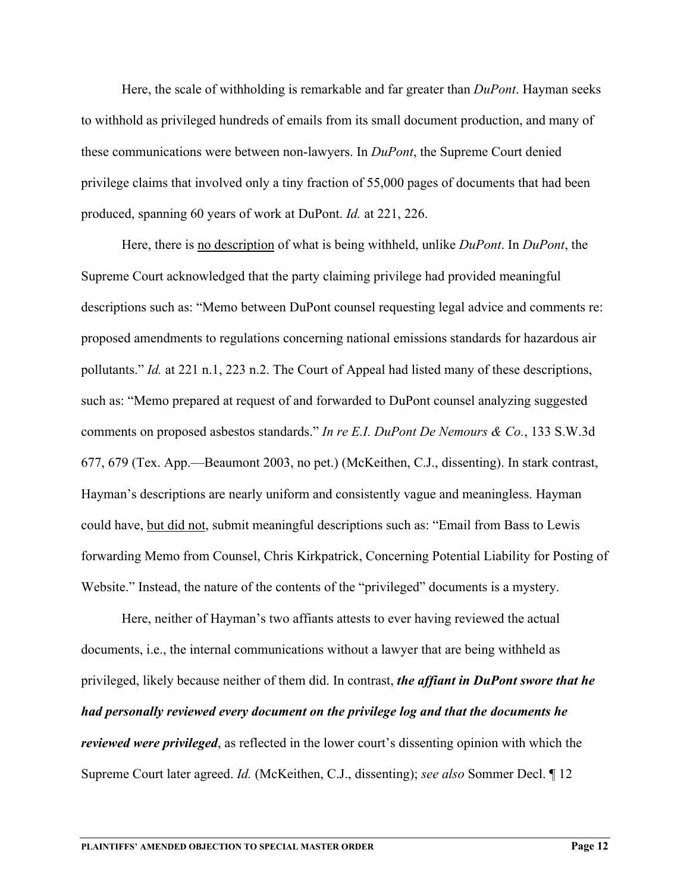Here, the scale of withholding is remarkable and far greater than *DuPont*. Hayman seeks to withhold as privileged hundreds of emails from its small document production, and many of these communications were between non-lawyers. In *DuPont*, the Supreme Court denied privilege claims that involved only a tiny fraction of 55,000 pages of documents that had been produced, spanning 60 years of work at DuPont. *Id.* at 221, 226.

Here, there is no description of what is being withheld, unlike *DuPont*. In *DuPont*, the Supreme Court acknowledged that the party claiming privilege had provided meaningful descriptions such as: "Memo between DuPont counsel requesting legal advice and comments re: proposed amendments to regulations concerning national emissions standards for hazardous air pollutants." *Id.* at 221 n.1, 223 n.2. The Court of Appeal had listed many of these descriptions, such as: "Memo prepared at request of and forwarded to DuPont counsel analyzing suggested comments on proposed asbestos standards." *In re E.I. DuPont De Nemours & Co.*, 133 S.W.3d 677, 679 (Tex. App.—Beaumont 2003, no pet.) (McKeithen, C.J., dissenting). In stark contrast, Hayman's descriptions are nearly uniform and consistently vague and meaningless. Hayman could have, but did not, submit meaningful descriptions such as: "Email from Bass to Lewis forwarding Memo from Counsel, Chris Kirkpatrick, Concerning Potential Liability for Posting of Website." Instead, the nature of the contents of the "privileged" documents is a mystery.

Here, neither of Hayman's two affiants attests to ever having reviewed the actual documents, i.e., the internal communications without a lawyer that are being withheld as privileged, likely because neither of them did. In contrast, *the affiant in DuPont swore that he had personally reviewed every document on the privilege log and that the documents he reviewed were privileged*, as reflected in the lower court's dissenting opinion with which the Supreme Court later agreed. *Id.* (McKeithen, C.J., dissenting); *see also* Sommer Decl. ¶ 12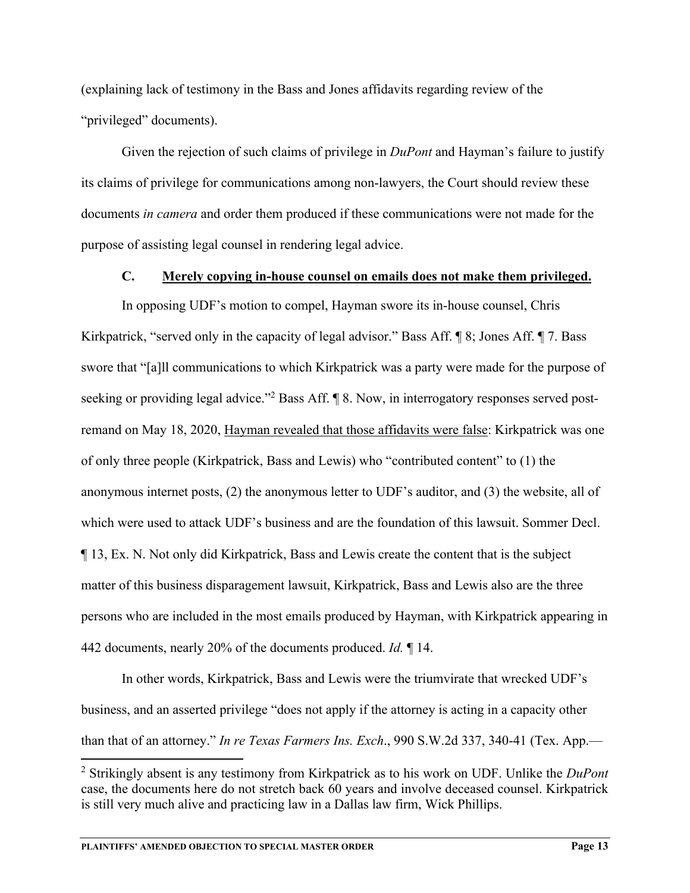(explaining lack of testimony in the Bass and Jones affidavits regarding review of the "privileged" documents).

Given the rejection of such claims of privilege in *DuPont* and Hayman's failure to justify its claims of privilege for communications among non-lawyers, the Court should review these documents *in camera* and order them produced if these communications were not made for the purpose of assisting legal counsel in rendering legal advice.

#### **C. Merely copying in-house counsel on emails does not make them privileged.**

In opposing UDF's motion to compel, Hayman swore its in-house counsel, Chris Kirkpatrick, "served only in the capacity of legal advisor." Bass Aff.  $\parallel$  8; Jones Aff.  $\parallel$  7. Bass swore that "[a]ll communications to which Kirkpatrick was a party were made for the purpose of seeking or providing legal advice."<sup>2</sup> Bass Aff. ¶ 8. Now, in interrogatory responses served postremand on May 18, 2020, Hayman revealed that those affidavits were false: Kirkpatrick was one of only three people (Kirkpatrick, Bass and Lewis) who "contributed content" to (1) the anonymous internet posts, (2) the anonymous letter to UDF's auditor, and (3) the website, all of which were used to attack UDF's business and are the foundation of this lawsuit. Sommer Decl. ¶ 13, Ex. N. Not only did Kirkpatrick, Bass and Lewis create the content that is the subject matter of this business disparagement lawsuit, Kirkpatrick, Bass and Lewis also are the three persons who are included in the most emails produced by Hayman, with Kirkpatrick appearing in 442 documents, nearly 20% of the documents produced. *Id.* ¶ 14.

In other words, Kirkpatrick, Bass and Lewis were the triumvirate that wrecked UDF's business, and an asserted privilege "does not apply if the attorney is acting in a capacity other than that of an attorney." *In re Texas Farmers Ins. Exch*., 990 S.W.2d 337, 340-41 (Tex. App.—

<sup>2</sup> Strikingly absent is any testimony from Kirkpatrick as to his work on UDF. Unlike the *DuPont*  case, the documents here do not stretch back 60 years and involve deceased counsel. Kirkpatrick is still very much alive and practicing law in a Dallas law firm, Wick Phillips.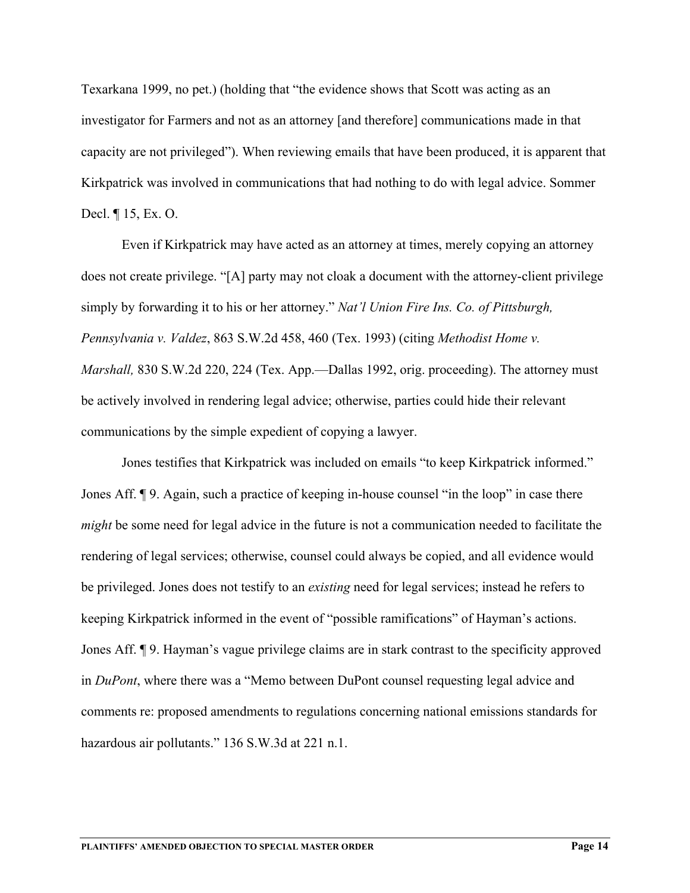Texarkana 1999, no pet.) (holding that "the evidence shows that Scott was acting as an investigator for Farmers and not as an attorney [and therefore] communications made in that capacity are not privileged"). When reviewing emails that have been produced, it is apparent that Kirkpatrick was involved in communications that had nothing to do with legal advice. Sommer Decl. ¶ 15, Ex. O.

Even if Kirkpatrick may have acted as an attorney at times, merely copying an attorney does not create privilege. "[A] party may not cloak a document with the attorney-client privilege simply by forwarding it to his or her attorney." *Nat'l Union Fire Ins. Co. of Pittsburgh, Pennsylvania v. Valdez*, 863 S.W.2d 458, 460 (Tex. 1993) (citing *Methodist Home v. Marshall*, 830 S.W.2d 220, 224 (Tex. App.—Dallas 1992, orig. proceeding). The attorney must be actively involved in rendering legal advice; otherwise, parties could hide their relevant communications by the simple expedient of copying a lawyer.

Jones testifies that Kirkpatrick was included on emails "to keep Kirkpatrick informed." Jones Aff. ¶ 9. Again, such a practice of keeping in-house counsel "in the loop" in case there *might* be some need for legal advice in the future is not a communication needed to facilitate the rendering of legal services; otherwise, counsel could always be copied, and all evidence would be privileged. Jones does not testify to an *existing* need for legal services; instead he refers to keeping Kirkpatrick informed in the event of "possible ramifications" of Hayman's actions. Jones Aff. ¶ 9. Hayman's vague privilege claims are in stark contrast to the specificity approved in *DuPont*, where there was a "Memo between DuPont counsel requesting legal advice and comments re: proposed amendments to regulations concerning national emissions standards for hazardous air pollutants." 136 S.W.3d at 221 n.1.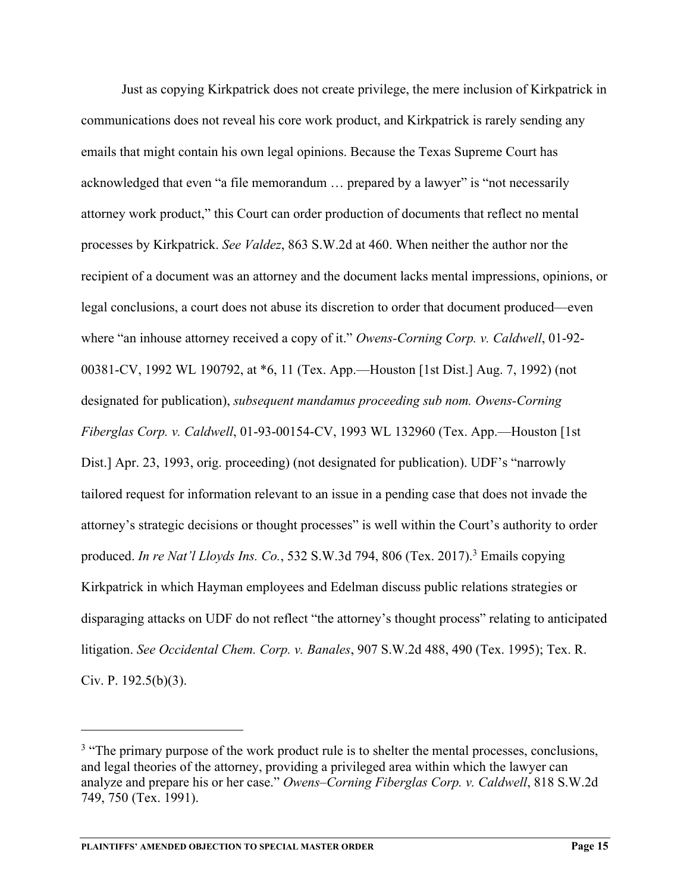Just as copying Kirkpatrick does not create privilege, the mere inclusion of Kirkpatrick in communications does not reveal his core work product, and Kirkpatrick is rarely sending any emails that might contain his own legal opinions. Because the Texas Supreme Court has acknowledged that even "a file memorandum … prepared by a lawyer" is "not necessarily attorney work product," this Court can order production of documents that reflect no mental processes by Kirkpatrick. *See Valdez*, 863 S.W.2d at 460. When neither the author nor the recipient of a document was an attorney and the document lacks mental impressions, opinions, or legal conclusions, a court does not abuse its discretion to order that document produced—even where "an inhouse attorney received a copy of it." *Owens-Corning Corp. v. Caldwell*, 01-92- 00381-CV, 1992 WL 190792, at \*6, 11 (Tex. App.—Houston [1st Dist.] Aug. 7, 1992) (not designated for publication), *subsequent mandamus proceeding sub nom. Owens-Corning Fiberglas Corp. v. Caldwell*, 01-93-00154-CV, 1993 WL 132960 (Tex. App.—Houston [1st Dist.] Apr. 23, 1993, orig. proceeding) (not designated for publication). UDF's "narrowly tailored request for information relevant to an issue in a pending case that does not invade the attorney's strategic decisions or thought processes" is well within the Court's authority to order produced. *In re Nat'l Lloyds Ins. Co.*, 532 S.W.3d 794, 806 (Tex. 2017).<sup>3</sup> Emails copying Kirkpatrick in which Hayman employees and Edelman discuss public relations strategies or disparaging attacks on UDF do not reflect "the attorney's thought process" relating to anticipated litigation. *See Occidental Chem. Corp. v. Banales*, 907 S.W.2d 488, 490 (Tex. 1995); Tex. R. Civ. P. 192.5(b)(3).

<sup>&</sup>lt;sup>3</sup> "The primary purpose of the work product rule is to shelter the mental processes, conclusions, and legal theories of the attorney, providing a privileged area within which the lawyer can analyze and prepare his or her case." *Owens–Corning Fiberglas Corp. v. Caldwell*, 818 S.W.2d 749, 750 (Tex. 1991).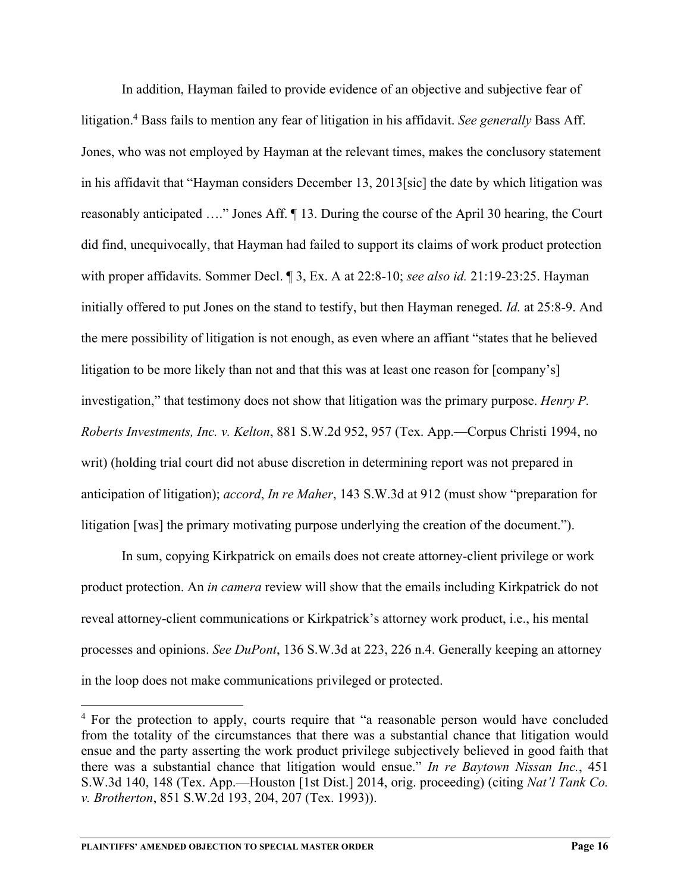In addition, Hayman failed to provide evidence of an objective and subjective fear of litigation.4 Bass fails to mention any fear of litigation in his affidavit. *See generally* Bass Aff. Jones, who was not employed by Hayman at the relevant times, makes the conclusory statement in his affidavit that "Hayman considers December 13, 2013[sic] the date by which litigation was reasonably anticipated …." Jones Aff. ¶ 13. During the course of the April 30 hearing, the Court did find, unequivocally, that Hayman had failed to support its claims of work product protection with proper affidavits. Sommer Decl. ¶ 3, Ex. A at 22:8-10; *see also id.* 21:19-23:25. Hayman initially offered to put Jones on the stand to testify, but then Hayman reneged. *Id.* at 25:8-9. And the mere possibility of litigation is not enough, as even where an affiant "states that he believed litigation to be more likely than not and that this was at least one reason for [company's] investigation," that testimony does not show that litigation was the primary purpose. *Henry P. Roberts Investments, Inc. v. Kelton*, 881 S.W.2d 952, 957 (Tex. App.—Corpus Christi 1994, no writ) (holding trial court did not abuse discretion in determining report was not prepared in anticipation of litigation); *accord*, *In re Maher*, 143 S.W.3d at 912 (must show "preparation for litigation [was] the primary motivating purpose underlying the creation of the document.").

In sum, copying Kirkpatrick on emails does not create attorney-client privilege or work product protection. An *in camera* review will show that the emails including Kirkpatrick do not reveal attorney-client communications or Kirkpatrick's attorney work product, i.e., his mental processes and opinions. *See DuPont*, 136 S.W.3d at 223, 226 n.4. Generally keeping an attorney in the loop does not make communications privileged or protected.

<sup>&</sup>lt;sup>4</sup> For the protection to apply, courts require that "a reasonable person would have concluded from the totality of the circumstances that there was a substantial chance that litigation would ensue and the party asserting the work product privilege subjectively believed in good faith that there was a substantial chance that litigation would ensue." *In re Baytown Nissan Inc.*, 451 S.W.3d 140, 148 (Tex. App.—Houston [1st Dist.] 2014, orig. proceeding) (citing *Nat'l Tank Co. v. Brotherton*, 851 S.W.2d 193, 204, 207 (Tex. 1993)).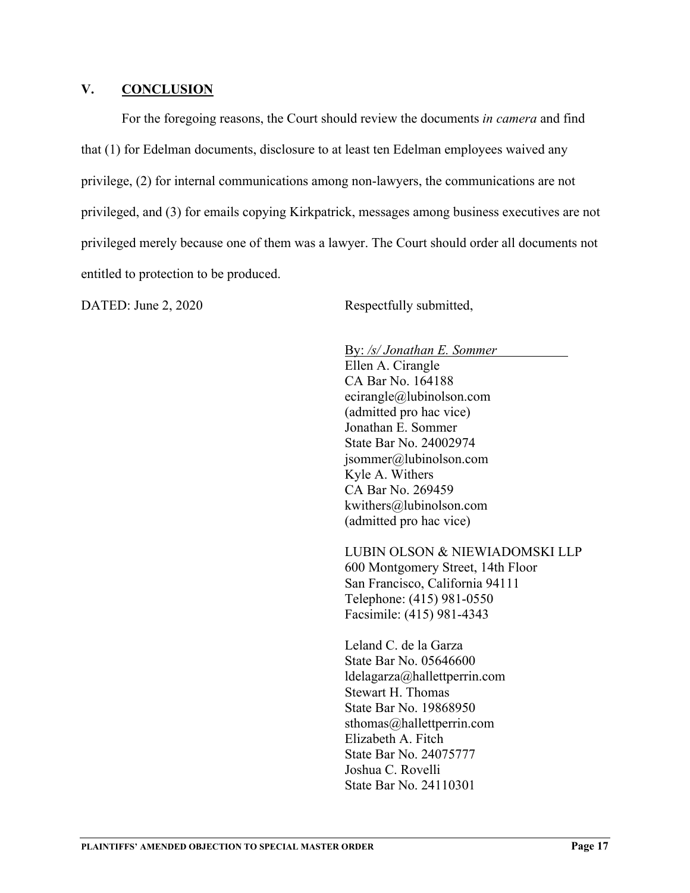#### **V. CONCLUSION**

For the foregoing reasons, the Court should review the documents *in camera* and find that (1) for Edelman documents, disclosure to at least ten Edelman employees waived any privilege, (2) for internal communications among non-lawyers, the communications are not privileged, and (3) for emails copying Kirkpatrick, messages among business executives are not privileged merely because one of them was a lawyer. The Court should order all documents not entitled to protection to be produced.

DATED: June 2, 2020 Respectfully submitted,

By: */s/ Jonathan E. Sommer* 

Ellen A. Cirangle CA Bar No. 164188 ecirangle@lubinolson.com (admitted pro hac vice) Jonathan E. Sommer State Bar No. 24002974 jsommer@lubinolson.com Kyle A. Withers CA Bar No. 269459 kwithers@lubinolson.com (admitted pro hac vice)

LUBIN OLSON & NIEWIADOMSKI LLP 600 Montgomery Street, 14th Floor San Francisco, California 94111 Telephone: (415) 981-0550 Facsimile: (415) 981-4343

Leland C. de la Garza State Bar No. 05646600 ldelagarza@hallettperrin.com Stewart H. Thomas State Bar No. 19868950 sthomas@hallettperrin.com Elizabeth A. Fitch State Bar No. 24075777 Joshua C. Rovelli State Bar No. 24110301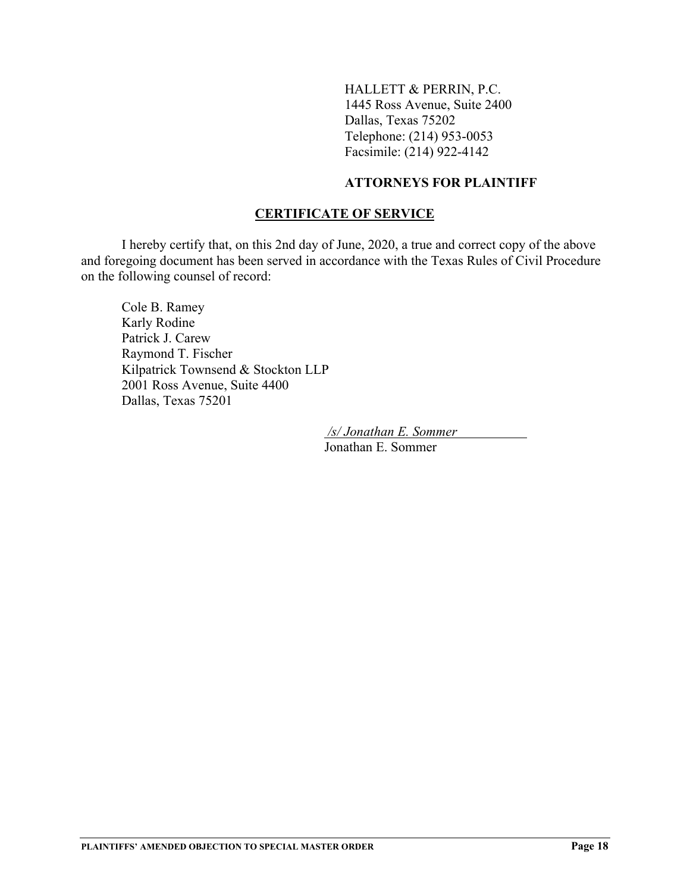HALLETT & PERRIN, P.C. 1445 Ross Avenue, Suite 2400 Dallas, Texas 75202 Telephone: (214) 953-0053 Facsimile: (214) 922-4142

### **ATTORNEYS FOR PLAINTIFF**

### **CERTIFICATE OF SERVICE**

 I hereby certify that, on this 2nd day of June, 2020, a true and correct copy of the above and foregoing document has been served in accordance with the Texas Rules of Civil Procedure on the following counsel of record:

 Cole B. Ramey Karly Rodine Patrick J. Carew Raymond T. Fischer Kilpatrick Townsend & Stockton LLP 2001 Ross Avenue, Suite 4400 Dallas, Texas 75201

> */s/ Jonathan E. Sommer*  Jonathan E. Sommer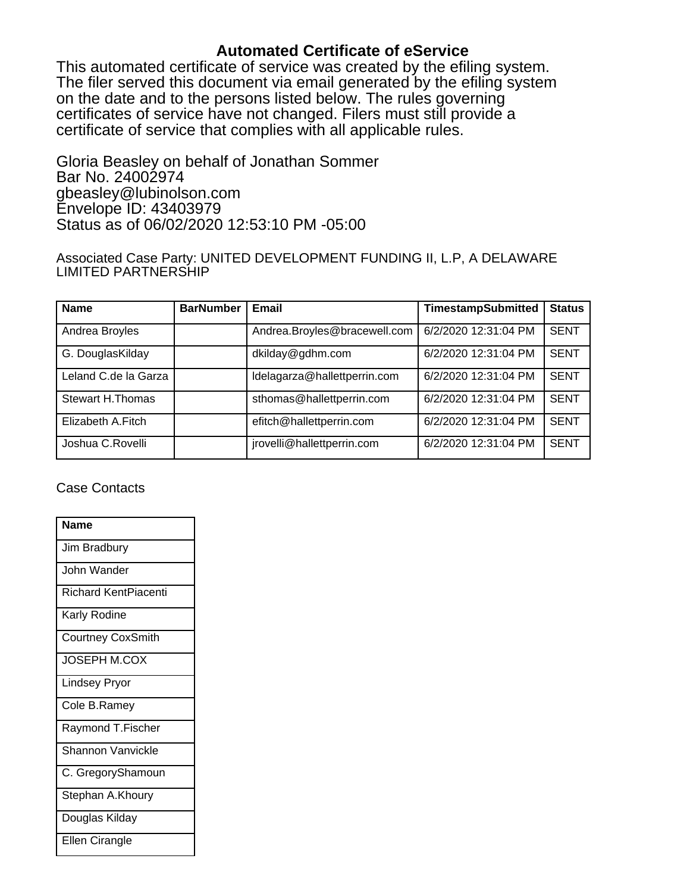## **Automated Certificate of eService**

This automated certificate of service was created by the efiling system. The filer served this document via email generated by the efiling system on the date and to the persons listed below. The rules governing certificates of service have not changed. Filers must still provide a certificate of service that complies with all applicable rules.

Gloria Beasley on behalf of Jonathan Sommer Bar No. 24002974 gbeasley@lubinolson.com Envelope ID: 43403979 Status as of 06/02/2020 12:53:10 PM -05:00

Associated Case Party: UNITED DEVELOPMENT FUNDING II, L.P, A DELAWARE LIMITED PARTNERSHIP

| <b>Name</b>             | <b>BarNumber</b> | <b>Email</b>                 | <b>TimestampSubmitted</b> | <b>Status</b> |
|-------------------------|------------------|------------------------------|---------------------------|---------------|
| Andrea Broyles          |                  | Andrea.Broyles@bracewell.com | 6/2/2020 12:31:04 PM      | <b>SENT</b>   |
| G. DouglasKilday        |                  | dkilday@gdhm.com             | 6/2/2020 12:31:04 PM      | <b>SENT</b>   |
| Leland C.de la Garza    |                  | Idelagarza@hallettperrin.com | 6/2/2020 12:31:04 PM      | <b>SENT</b>   |
| <b>Stewart H.Thomas</b> |                  | sthomas@hallettperrin.com    | 6/2/2020 12:31:04 PM      | <b>SENT</b>   |
| Elizabeth A.Fitch       |                  | efitch@hallettperrin.com     | 6/2/2020 12:31:04 PM      | <b>SENT</b>   |
| Joshua C.Rovelli        |                  | jrovelli@hallettperrin.com   | 6/2/2020 12:31:04 PM      | <b>SENT</b>   |

Case Contacts

| <b>Name</b>                 |
|-----------------------------|
| Jim Bradbury                |
| John Wander                 |
| <b>Richard KentPiacenti</b> |
| Karly Rodine                |
| <b>Courtney CoxSmith</b>    |
| <b>JOSEPH M.COX</b>         |
| <b>Lindsey Pryor</b>        |
| Cole B.Ramey                |
| Raymond T.Fischer           |
| <b>Shannon Vanvickle</b>    |
| C. GregoryShamoun           |
| Stephan A.Khoury            |
| Douglas Kilday              |
| Ellen Cirangle              |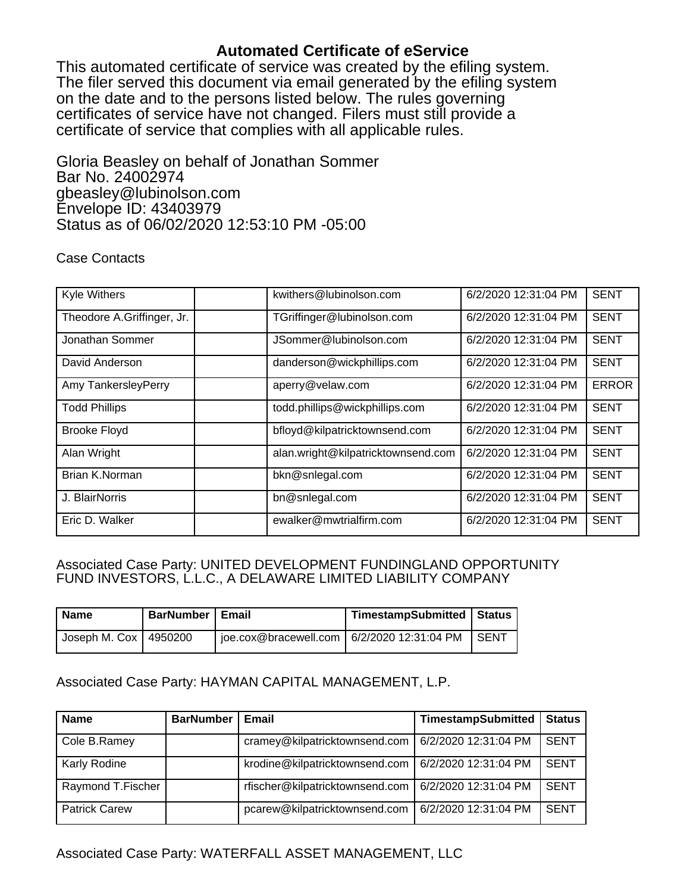## **Automated Certificate of eService**

This automated certificate of service was created by the efiling system. The filer served this document via email generated by the efiling system on the date and to the persons listed below. The rules governing certificates of service have not changed. Filers must still provide a certificate of service that complies with all applicable rules.

Gloria Beasley on behalf of Jonathan Sommer Bar No. 24002974 gbeasley@lubinolson.com Envelope ID: 43403979 Status as of 06/02/2020 12:53:10 PM -05:00

### Case Contacts

| Kyle Withers               | kwithers@lubinolson.com            | 6/2/2020 12:31:04 PM | <b>SENT</b>  |
|----------------------------|------------------------------------|----------------------|--------------|
| Theodore A.Griffinger, Jr. | TGriffinger@lubinolson.com         | 6/2/2020 12:31:04 PM | <b>SENT</b>  |
| Jonathan Sommer            | JSommer@lubinolson.com             | 6/2/2020 12:31:04 PM | <b>SENT</b>  |
| David Anderson             | danderson@wickphillips.com         | 6/2/2020 12:31:04 PM | <b>SENT</b>  |
| Amy TankersleyPerry        | aperry@velaw.com                   | 6/2/2020 12:31:04 PM | <b>ERROR</b> |
| <b>Todd Phillips</b>       | todd.phillips@wickphillips.com     | 6/2/2020 12:31:04 PM | <b>SENT</b>  |
| <b>Brooke Floyd</b>        | bfloyd@kilpatricktownsend.com      | 6/2/2020 12:31:04 PM | <b>SENT</b>  |
| Alan Wright                | alan.wright@kilpatricktownsend.com | 6/2/2020 12:31:04 PM | <b>SENT</b>  |
| Brian K.Norman             | bkn@snlegal.com                    | 6/2/2020 12:31:04 PM | <b>SENT</b>  |
| J. BlairNorris             | bn@snlegal.com                     | 6/2/2020 12:31:04 PM | <b>SENT</b>  |
| Eric D. Walker             | ewalker@mwtrialfirm.com            | 6/2/2020 12:31:04 PM | <b>SENT</b>  |

#### Associated Case Party: UNITED DEVELOPMENT FUNDINGLAND OPPORTUNITY FUND INVESTORS, L.L.C., A DELAWARE LIMITED LIABILITY COMPANY

| <b>Name</b>             | <b>BarNumber   Email</b> | TimestampSubmitted   Status |  |
|-------------------------|--------------------------|-----------------------------|--|
| Joseph M. Cox   4950200 |                          |                             |  |

### Associated Case Party: HAYMAN CAPITAL MANAGEMENT, L.P.

| <b>Name</b>          | <b>BarNumber</b> | Email                           | <b>TimestampSubmitted</b> | <b>Status</b> |
|----------------------|------------------|---------------------------------|---------------------------|---------------|
| Cole B.Ramey         |                  | cramey@kilpatricktownsend.com   | 6/2/2020 12:31:04 PM      | <b>SENT</b>   |
| Karly Rodine         |                  | krodine@kilpatricktownsend.com  | 6/2/2020 12:31:04 PM      | <b>SENT</b>   |
| Raymond T.Fischer    |                  | rfischer@kilpatricktownsend.com | 6/2/2020 12:31:04 PM      | <b>SENT</b>   |
| <b>Patrick Carew</b> |                  | pcarew@kilpatricktownsend.com   | 6/2/2020 12:31:04 PM      | <b>SENT</b>   |

### Associated Case Party: WATERFALL ASSET MANAGEMENT, LLC